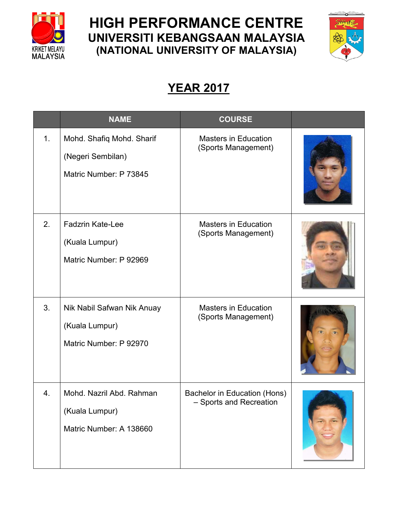

## **HIGH PERFORMANCE CENTRE UNIVERSITI KEBANGSAAN MALAYSIA (NATIONAL UNIVERSITY OF MALAYSIA)**



## **YEAR 2017**

|                | <b>NAME</b>                                                              | <b>COURSE</b>                                           |  |
|----------------|--------------------------------------------------------------------------|---------------------------------------------------------|--|
| 1 <sub>1</sub> | Mohd. Shafiq Mohd. Sharif<br>(Negeri Sembilan)<br>Matric Number: P 73845 | <b>Masters in Education</b><br>(Sports Management)      |  |
| 2.             | <b>Fadzrin Kate-Lee</b><br>(Kuala Lumpur)<br>Matric Number: P 92969      | <b>Masters in Education</b><br>(Sports Management)      |  |
| 3.             | Nik Nabil Safwan Nik Anuay<br>(Kuala Lumpur)<br>Matric Number: P 92970   | <b>Masters in Education</b><br>(Sports Management)      |  |
| 4.             | Mohd. Nazril Abd. Rahman<br>(Kuala Lumpur)<br>Matric Number: A 138660    | Bachelor in Education (Hons)<br>- Sports and Recreation |  |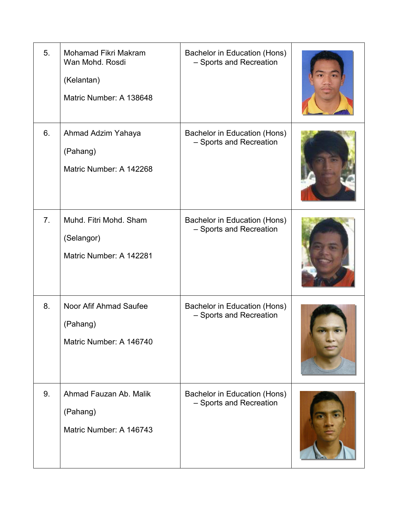| 5.             | Mohamad Fikri Makram<br>Wan Mohd, Rosdi<br>(Kelantan)<br>Matric Number: A 138648 | Bachelor in Education (Hons)<br>- Sports and Recreation |  |
|----------------|----------------------------------------------------------------------------------|---------------------------------------------------------|--|
| 6.             | Ahmad Adzim Yahaya<br>(Pahang)<br>Matric Number: A 142268                        | Bachelor in Education (Hons)<br>- Sports and Recreation |  |
| 7 <sub>1</sub> | Muhd. Fitri Mohd. Sham<br>(Selangor)<br>Matric Number: A 142281                  | Bachelor in Education (Hons)<br>- Sports and Recreation |  |
| 8.             | Noor Afif Ahmad Saufee<br>(Pahang)<br>Matric Number: A 146740                    | Bachelor in Education (Hons)<br>- Sports and Recreation |  |
| 9.             | Ahmad Fauzan Ab, Malik<br>(Pahang)<br>Matric Number: A 146743                    | Bachelor in Education (Hons)<br>- Sports and Recreation |  |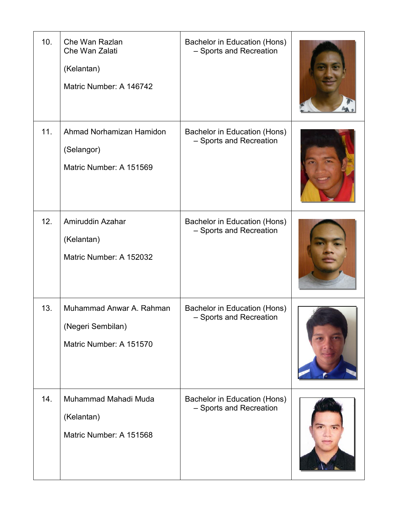| 10. | Che Wan Razlan<br>Che Wan Zalati<br>(Kelantan)<br>Matric Number: A 146742 | Bachelor in Education (Hons)<br>- Sports and Recreation |  |
|-----|---------------------------------------------------------------------------|---------------------------------------------------------|--|
| 11. | Ahmad Norhamizan Hamidon<br>(Selangor)<br>Matric Number: A 151569         | Bachelor in Education (Hons)<br>- Sports and Recreation |  |
| 12. | Amiruddin Azahar<br>(Kelantan)<br>Matric Number: A 152032                 | Bachelor in Education (Hons)<br>- Sports and Recreation |  |
| 13. | Muhammad Anwar A. Rahman<br>(Negeri Sembilan)<br>Matric Number: A 151570  | Bachelor in Education (Hons)<br>- Sports and Recreation |  |
| 14. | Muhammad Mahadi Muda<br>(Kelantan)<br>Matric Number: A 151568             | Bachelor in Education (Hons)<br>- Sports and Recreation |  |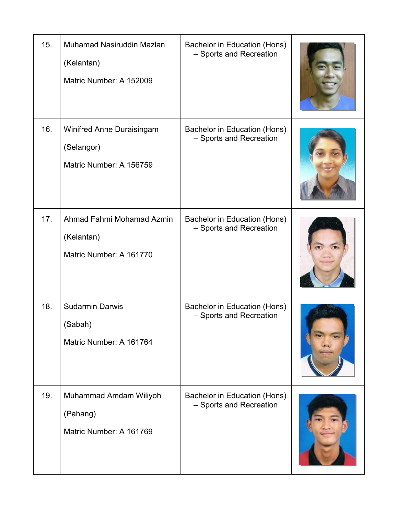| 15. | Muhamad Nasiruddin Mazlan<br>(Kelantan)<br>Matric Number: A 152009 | Bachelor in Education (Hons)<br>- Sports and Recreation |  |
|-----|--------------------------------------------------------------------|---------------------------------------------------------|--|
| 16. | Winifred Anne Duraisingam<br>(Selangor)<br>Matric Number: A 156759 | Bachelor in Education (Hons)<br>- Sports and Recreation |  |
| 17. | Ahmad Fahmi Mohamad Azmin<br>(Kelantan)<br>Matric Number: A 161770 | Bachelor in Education (Hons)<br>- Sports and Recreation |  |
| 18. | <b>Sudarmin Darwis</b><br>(Sabah)<br>Matric Number: A 161764       | Bachelor in Education (Hons)<br>- Sports and Recreation |  |
| 19. | Muhammad Amdam Wiliyoh<br>(Pahang)<br>Matric Number: A 161769      | Bachelor in Education (Hons)<br>- Sports and Recreation |  |